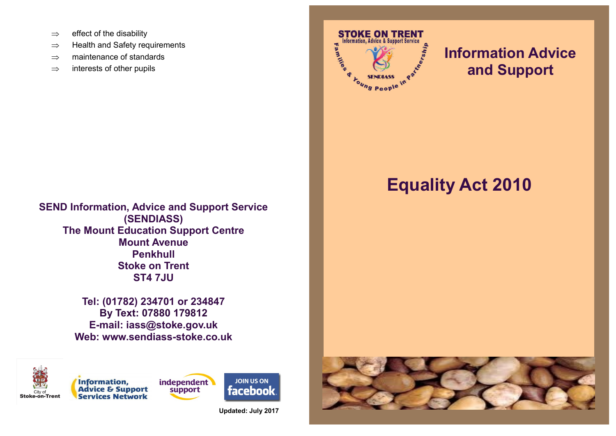- $\Rightarrow$  effect of the disability
- $\Rightarrow$  Health and Safety requirements
- $\Rightarrow$  maintenance of standards
- $\Rightarrow$  interests of other pupils



# **Information Advice and Support**

# **Equality Act 2010**

**SEND Information, Advice and Support Service (SENDIASS) The Mount Education Support Centre Mount Avenue Penkhull Stoke on Trent ST4 7JU**

> **Tel: (01782) 234701 or 234847 By Text: 07880 179812 E-mail: iass@stoke.gov.uk Web: www.sendiass-stoke.co.uk**





independent support

**JOIN US ON facebook** 

**Updated: July 2017**